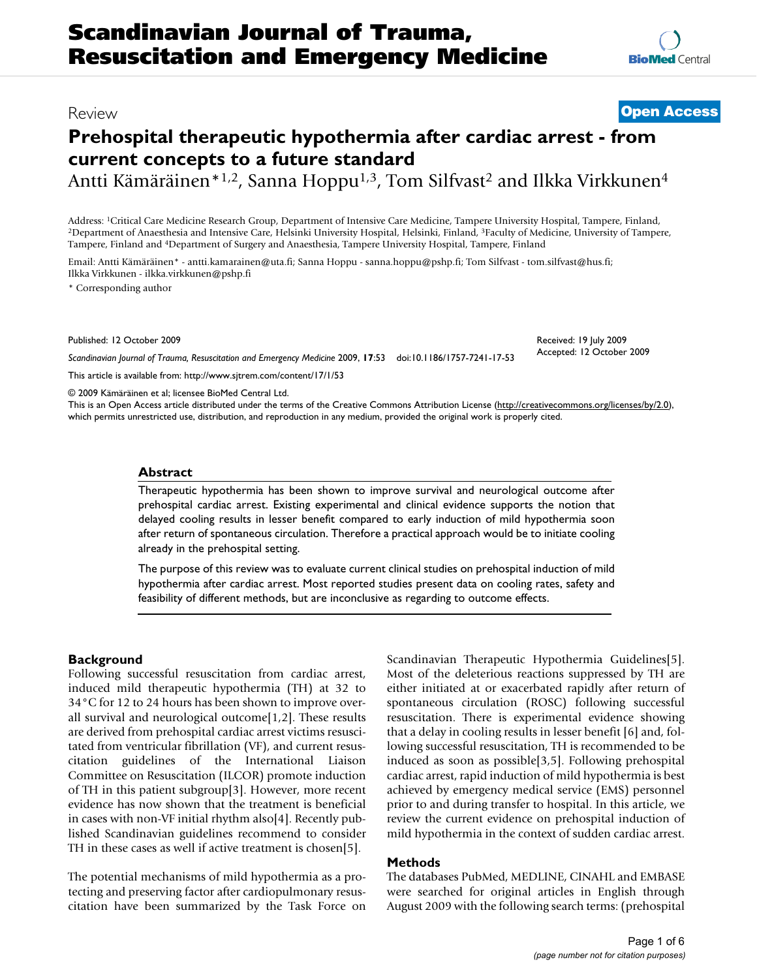# Review **[Open Access](http://www.biomedcentral.com/info/about/charter/)**

# **Prehospital therapeutic hypothermia after cardiac arrest - from current concepts to a future standard**

Antti Kämäräinen\*<sup>1,2</sup>, Sanna Hoppu<sup>1,3</sup>, Tom Silfvast<sup>2</sup> and Ilkka Virkkunen<sup>4</sup>

Address: <sup>1</sup>Critical Care Medicine Research Group, Department of Intensive Care Medicine, Tampere University Hospital, Tampere, Finland,<br><sup>2</sup>Department of Anaesthesia and Intensive Care, Helsinki University Hospital, Helsin Tampere, Finland and 4Department of Surgery and Anaesthesia, Tampere University Hospital, Tampere, Finland

Email: Antti Kämäräinen\* - antti.kamarainen@uta.fi; Sanna Hoppu - sanna.hoppu@pshp.fi; Tom Silfvast - tom.silfvast@hus.fi; Ilkka Virkkunen - ilkka.virkkunen@pshp.fi

\* Corresponding author

Published: 12 October 2009

*Scandinavian Journal of Trauma, Resuscitation and Emergency Medicine* 2009, **17**:53 doi:10.1186/1757-7241-17-53 [This article is available from: http://www.sjtrem.com/content/17/1/53](http://www.sjtrem.com/content/17/1/53)

© 2009 Kämäräinen et al; licensee BioMed Central Ltd.

This is an Open Access article distributed under the terms of the Creative Commons Attribution License [\(http://creativecommons.org/licenses/by/2.0\)](http://creativecommons.org/licenses/by/2.0), which permits unrestricted use, distribution, and reproduction in any medium, provided the original work is properly cited.

#### **Abstract**

Therapeutic hypothermia has been shown to improve survival and neurological outcome after prehospital cardiac arrest. Existing experimental and clinical evidence supports the notion that delayed cooling results in lesser benefit compared to early induction of mild hypothermia soon after return of spontaneous circulation. Therefore a practical approach would be to initiate cooling already in the prehospital setting.

The purpose of this review was to evaluate current clinical studies on prehospital induction of mild hypothermia after cardiac arrest. Most reported studies present data on cooling rates, safety and feasibility of different methods, but are inconclusive as regarding to outcome effects.

# **Background**

Following successful resuscitation from cardiac arrest, induced mild therapeutic hypothermia (TH) at 32 to 34°C for 12 to 24 hours has been shown to improve overall survival and neurological outcome[1,2]. These results are derived from prehospital cardiac arrest victims resuscitated from ventricular fibrillation (VF), and current resuscitation guidelines of the International Liaison Committee on Resuscitation (ILCOR) promote induction of TH in this patient subgroup[3]. However, more recent evidence has now shown that the treatment is beneficial in cases with non-VF initial rhythm also[4]. Recently published Scandinavian guidelines recommend to consider TH in these cases as well if active treatment is chosen[5].

The potential mechanisms of mild hypothermia as a protecting and preserving factor after cardiopulmonary resuscitation have been summarized by the Task Force on Scandinavian Therapeutic Hypothermia Guidelines[5]. Most of the deleterious reactions suppressed by TH are either initiated at or exacerbated rapidly after return of spontaneous circulation (ROSC) following successful resuscitation. There is experimental evidence showing that a delay in cooling results in lesser benefit [6] and, following successful resuscitation, TH is recommended to be induced as soon as possible[3,5]. Following prehospital cardiac arrest, rapid induction of mild hypothermia is best achieved by emergency medical service (EMS) personnel prior to and during transfer to hospital. In this article, we review the current evidence on prehospital induction of mild hypothermia in the context of sudden cardiac arrest.

Received: 19 July 2009 Accepted: 12 October 2009

# **Methods**

The databases PubMed, MEDLINE, CINAHL and EMBASE were searched for original articles in English through August 2009 with the following search terms: (prehospital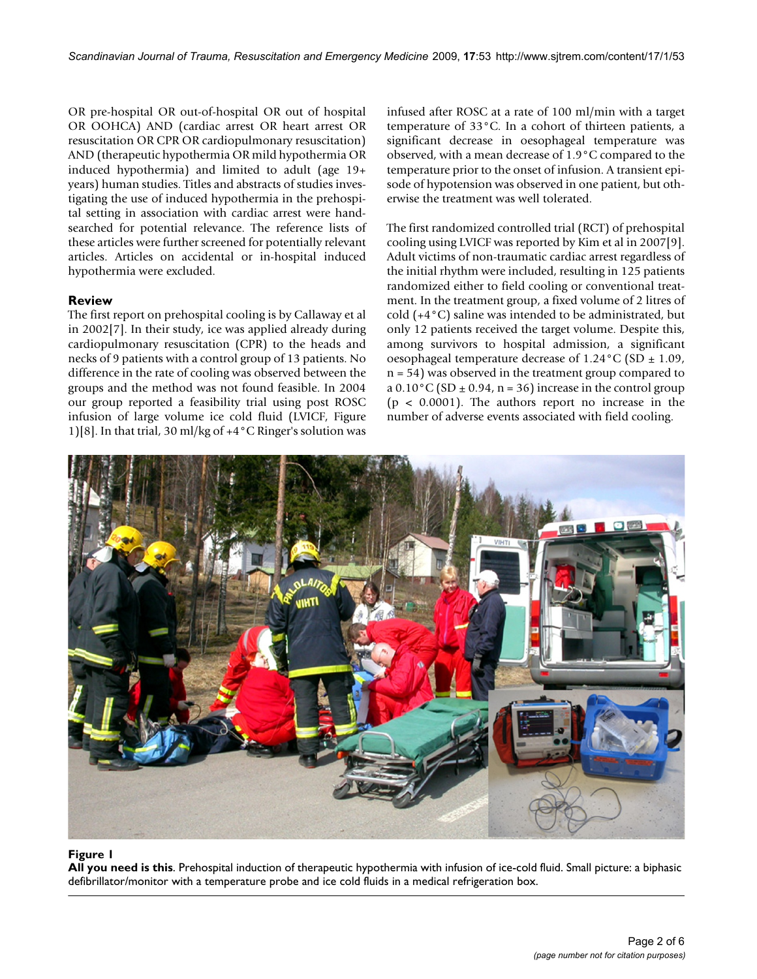OR pre-hospital OR out-of-hospital OR out of hospital OR OOHCA) AND (cardiac arrest OR heart arrest OR resuscitation OR CPR OR cardiopulmonary resuscitation) AND (therapeutic hypothermia OR mild hypothermia OR induced hypothermia) and limited to adult (age 19+ years) human studies. Titles and abstracts of studies investigating the use of induced hypothermia in the prehospital setting in association with cardiac arrest were handsearched for potential relevance. The reference lists of these articles were further screened for potentially relevant articles. Articles on accidental or in-hospital induced hypothermia were excluded.

# **Review**

The first report on prehospital cooling is by Callaway et al in 2002[7]. In their study, ice was applied already during cardiopulmonary resuscitation (CPR) to the heads and necks of 9 patients with a control group of 13 patients. No difference in the rate of cooling was observed between the groups and the method was not found feasible. In 2004 our group reported a feasibility trial using post ROSC infusion of large volume ice cold fluid (LVICF, Figure 1)[8]. In that trial, 30 ml/kg of +4°C Ringer's solution was infused after ROSC at a rate of 100 ml/min with a target temperature of 33°C. In a cohort of thirteen patients, a significant decrease in oesophageal temperature was observed, with a mean decrease of 1.9°C compared to the temperature prior to the onset of infusion. A transient episode of hypotension was observed in one patient, but otherwise the treatment was well tolerated.

The first randomized controlled trial (RCT) of prehospital cooling using LVICF was reported by Kim et al in 2007[9]. Adult victims of non-traumatic cardiac arrest regardless of the initial rhythm were included, resulting in 125 patients randomized either to field cooling or conventional treatment. In the treatment group, a fixed volume of 2 litres of cold (+4°C) saline was intended to be administrated, but only 12 patients received the target volume. Despite this, among survivors to hospital admission, a significant oesophageal temperature decrease of  $1.24\degree C$  (SD  $\pm$  1.09, n = 54) was observed in the treatment group compared to a  $0.10\degree$ C (SD  $\pm$  0.94, n = 36) increase in the control group  $(p < 0.0001)$ . The authors report no increase in the number of adverse events associated with field cooling.



#### **Figure 1**

**All you need is this**. Prehospital induction of therapeutic hypothermia with infusion of ice-cold fluid. Small picture: a biphasic defibrillator/monitor with a temperature probe and ice cold fluids in a medical refrigeration box.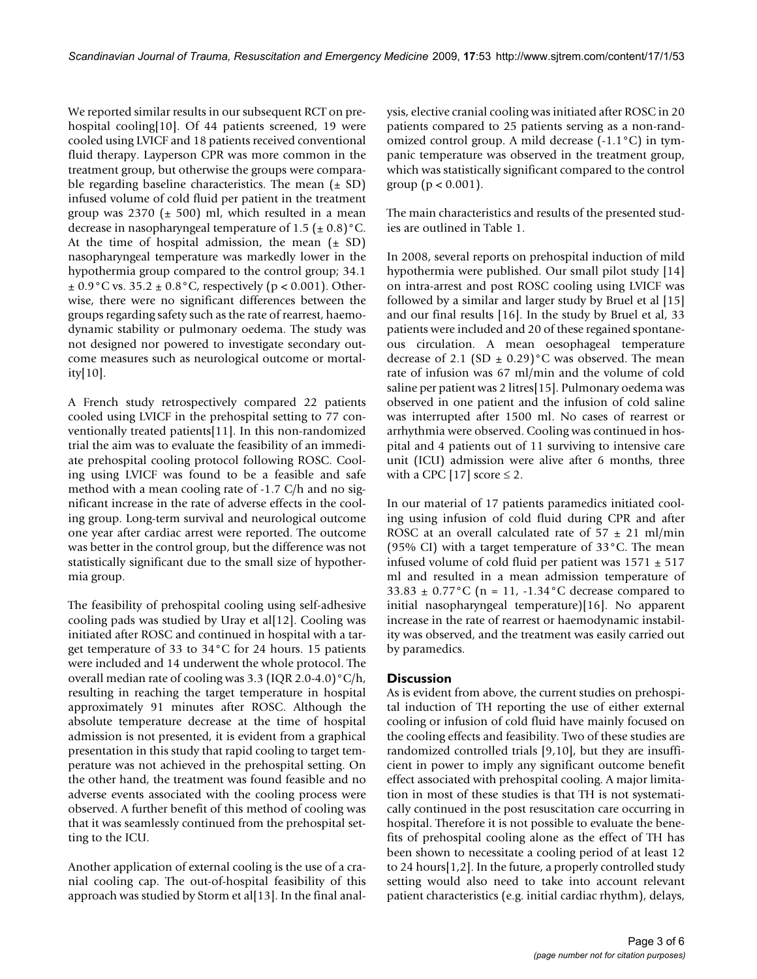We reported similar results in our subsequent RCT on prehospital cooling[10]. Of 44 patients screened, 19 were cooled using LVICF and 18 patients received conventional fluid therapy. Layperson CPR was more common in the treatment group, but otherwise the groups were comparable regarding baseline characteristics. The mean  $(\pm SD)$ infused volume of cold fluid per patient in the treatment group was 2370 ( $\pm$  500) ml, which resulted in a mean decrease in nasopharyngeal temperature of  $1.5 \ (\pm 0.8)^{\circ}$ C. At the time of hospital admission, the mean  $(\pm SD)$ nasopharyngeal temperature was markedly lower in the hypothermia group compared to the control group; 34.1  $\pm$  0.9 °C vs. 35.2  $\pm$  0.8 °C, respectively (p < 0.001). Otherwise, there were no significant differences between the groups regarding safety such as the rate of rearrest, haemodynamic stability or pulmonary oedema. The study was not designed nor powered to investigate secondary outcome measures such as neurological outcome or mortality[10].

A French study retrospectively compared 22 patients cooled using LVICF in the prehospital setting to 77 conventionally treated patients[11]. In this non-randomized trial the aim was to evaluate the feasibility of an immediate prehospital cooling protocol following ROSC. Cooling using LVICF was found to be a feasible and safe method with a mean cooling rate of -1.7 C/h and no significant increase in the rate of adverse effects in the cooling group. Long-term survival and neurological outcome one year after cardiac arrest were reported. The outcome was better in the control group, but the difference was not statistically significant due to the small size of hypothermia group.

The feasibility of prehospital cooling using self-adhesive cooling pads was studied by Uray et al[12]. Cooling was initiated after ROSC and continued in hospital with a target temperature of 33 to 34°C for 24 hours. 15 patients were included and 14 underwent the whole protocol. The overall median rate of cooling was 3.3 (IQR 2.0-4.0)°C/h, resulting in reaching the target temperature in hospital approximately 91 minutes after ROSC. Although the absolute temperature decrease at the time of hospital admission is not presented, it is evident from a graphical presentation in this study that rapid cooling to target temperature was not achieved in the prehospital setting. On the other hand, the treatment was found feasible and no adverse events associated with the cooling process were observed. A further benefit of this method of cooling was that it was seamlessly continued from the prehospital setting to the ICU.

Another application of external cooling is the use of a cranial cooling cap. The out-of-hospital feasibility of this approach was studied by Storm et al [13]. In the final analysis, elective cranial cooling was initiated after ROSC in 20 patients compared to 25 patients serving as a non-randomized control group. A mild decrease (-1.1°C) in tympanic temperature was observed in the treatment group, which was statistically significant compared to the control group ( $p < 0.001$ ).

The main characteristics and results of the presented studies are outlined in Table 1.

In 2008, several reports on prehospital induction of mild hypothermia were published. Our small pilot study [14] on intra-arrest and post ROSC cooling using LVICF was followed by a similar and larger study by Bruel et al [15] and our final results [16]. In the study by Bruel et al, 33 patients were included and 20 of these regained spontaneous circulation. A mean oesophageal temperature decrease of 2.1 (SD  $\pm$  0.29)°C was observed. The mean rate of infusion was 67 ml/min and the volume of cold saline per patient was 2 litres[15]. Pulmonary oedema was observed in one patient and the infusion of cold saline was interrupted after 1500 ml. No cases of rearrest or arrhythmia were observed. Cooling was continued in hospital and 4 patients out of 11 surviving to intensive care unit (ICU) admission were alive after 6 months, three with a CPC [17] score  $\leq$  2.

In our material of 17 patients paramedics initiated cooling using infusion of cold fluid during CPR and after ROSC at an overall calculated rate of  $57 \pm 21$  ml/min (95% CI) with a target temperature of  $33^{\circ}$ C. The mean infused volume of cold fluid per patient was  $1571 \pm 517$ ml and resulted in a mean admission temperature of 33.83  $\pm$  0.77°C (n = 11, -1.34°C decrease compared to initial nasopharyngeal temperature)[16]. No apparent increase in the rate of rearrest or haemodynamic instability was observed, and the treatment was easily carried out by paramedics.

# **Discussion**

As is evident from above, the current studies on prehospital induction of TH reporting the use of either external cooling or infusion of cold fluid have mainly focused on the cooling effects and feasibility. Two of these studies are randomized controlled trials [9,10], but they are insufficient in power to imply any significant outcome benefit effect associated with prehospital cooling. A major limitation in most of these studies is that TH is not systematically continued in the post resuscitation care occurring in hospital. Therefore it is not possible to evaluate the benefits of prehospital cooling alone as the effect of TH has been shown to necessitate a cooling period of at least 12 to 24 hours[1,2]. In the future, a properly controlled study setting would also need to take into account relevant patient characteristics (e.g. initial cardiac rhythm), delays,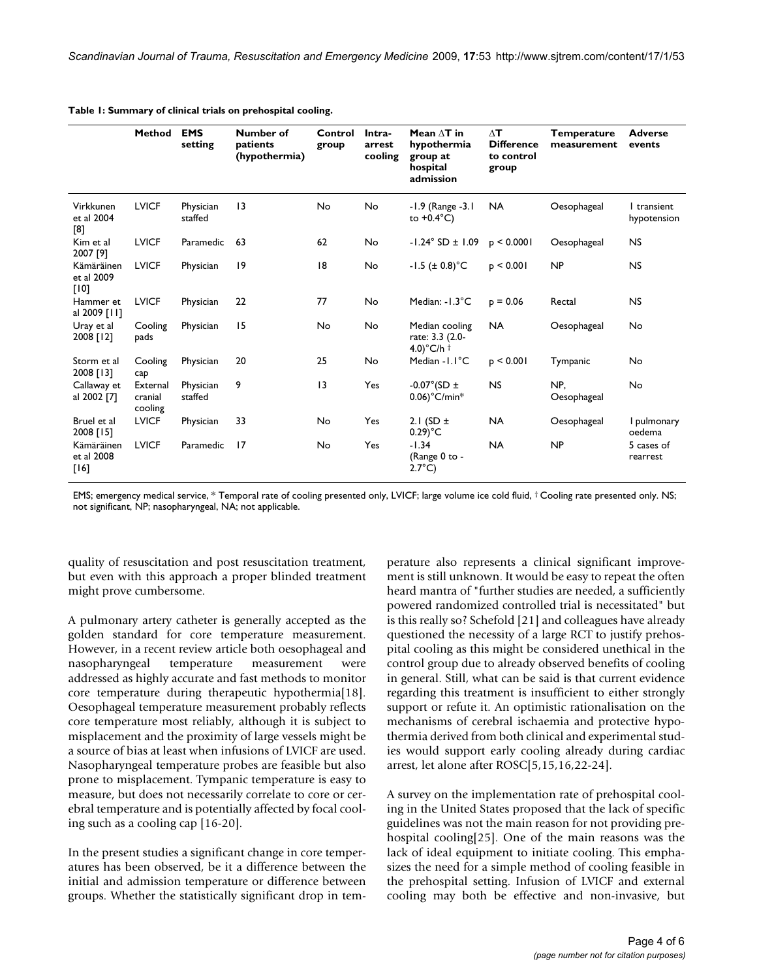|                                  | <b>Method</b>                  | <b>EMS</b><br>setting | Number of<br>patients<br>(hypothermia) | Control<br>group | Intra-<br>arrest<br>cooling | Mean $\Delta T$ in<br>hypothermia<br>group at<br>hospital<br>admission | $\Delta$ T<br><b>Difference</b><br>to control<br>group | <b>Temperature</b><br>measurement | <b>Adverse</b><br>events   |
|----------------------------------|--------------------------------|-----------------------|----------------------------------------|------------------|-----------------------------|------------------------------------------------------------------------|--------------------------------------------------------|-----------------------------------|----------------------------|
| Virkkunen<br>et al 2004<br>[8]   | <b>LVICF</b>                   | Physician<br>staffed  | 13                                     | No               | No                          | -1.9 (Range -3.1)<br>to $+0.4$ °C)                                     | <b>NA</b>                                              | Oesophageal                       | I transient<br>hypotension |
| Kim et al<br>2007 [9]            | <b>LVICF</b>                   | Paramedic             | 63                                     | 62               | No                          | $-1.24^{\circ}$ SD $\pm 1.09$                                          | p < 0.0001                                             | Oesophageal                       | <b>NS</b>                  |
| Kämäräinen<br>et al 2009<br>[10] | <b>LVICF</b>                   | Physician             | 19                                     | 8                | No                          | $-1.5$ ( $\pm$ 0.8) <sup>°</sup> C                                     | p < 0.001                                              | NP                                | <b>NS</b>                  |
| Hammer et<br>al 2009 [11]        | <b>LVICF</b>                   | Physician             | 22                                     | 77               | No                          | Median: -1.3°C                                                         | $p = 0.06$                                             | Rectal                            | <b>NS</b>                  |
| Uray et al<br>2008 [12]          | Cooling<br>pads                | Physician             | 15                                     | No               | No                          | Median cooling<br>rate: 3.3 (2.0-<br>4.0) $^{\circ}$ C/h $^{\dagger}$  | <b>NA</b>                                              | Oesophageal                       | No                         |
| Storm et al<br>2008 [13]         | Cooling<br>cap                 | Physician             | 20                                     | 25               | No                          | Median - I.I°C                                                         | p < 0.001                                              | Tympanic                          | No                         |
| Callaway et<br>al 2002 [7]       | External<br>cranial<br>cooling | Physician<br>staffed  | 9                                      | 13               | Yes                         | -0.07 $^{\circ}$ (SD $\pm$<br>$0.06$ <sup>°</sup> C/min <sup>*</sup>   | N <sub>S</sub>                                         | NP,<br>Oesophageal                | No                         |
| Bruel et al<br>2008 [15]         | <b>LVICF</b>                   | Physician             | 33                                     | No               | Yes                         | 2.1 (SD $\pm$<br>$0.29$ °C                                             | <b>NA</b>                                              | Oesophageal                       | I pulmonary<br>oedema      |
| Kämäräinen<br>et al 2008<br>[16] | <b>LVICF</b>                   | Paramedic             | 17                                     | No               | Yes                         | $-1.34$<br>(Range 0 to -<br>$2.7^{\circ}$ C)                           | <b>NA</b>                                              | NP                                | 5 cases of<br>rearrest     |

**Table 1: Summary of clinical trials on prehospital cooling.**

EMS; emergency medical service, \* Temporal rate of cooling presented only, LVICF; large volume ice cold fluid, † Cooling rate presented only. NS; not significant, NP; nasopharyngeal, NA; not applicable.

quality of resuscitation and post resuscitation treatment, but even with this approach a proper blinded treatment might prove cumbersome.

A pulmonary artery catheter is generally accepted as the golden standard for core temperature measurement. However, in a recent review article both oesophageal and nasopharyngeal temperature measurement were addressed as highly accurate and fast methods to monitor core temperature during therapeutic hypothermia[18]. Oesophageal temperature measurement probably reflects core temperature most reliably, although it is subject to misplacement and the proximity of large vessels might be a source of bias at least when infusions of LVICF are used. Nasopharyngeal temperature probes are feasible but also prone to misplacement. Tympanic temperature is easy to measure, but does not necessarily correlate to core or cerebral temperature and is potentially affected by focal cooling such as a cooling cap [16-20].

In the present studies a significant change in core temperatures has been observed, be it a difference between the initial and admission temperature or difference between groups. Whether the statistically significant drop in temperature also represents a clinical significant improvement is still unknown. It would be easy to repeat the often heard mantra of "further studies are needed, a sufficiently powered randomized controlled trial is necessitated" but is this really so? Schefold [21] and colleagues have already questioned the necessity of a large RCT to justify prehospital cooling as this might be considered unethical in the control group due to already observed benefits of cooling in general. Still, what can be said is that current evidence regarding this treatment is insufficient to either strongly support or refute it. An optimistic rationalisation on the mechanisms of cerebral ischaemia and protective hypothermia derived from both clinical and experimental studies would support early cooling already during cardiac arrest, let alone after ROSC[5,15,16,22-24].

A survey on the implementation rate of prehospital cooling in the United States proposed that the lack of specific guidelines was not the main reason for not providing prehospital cooling[25]. One of the main reasons was the lack of ideal equipment to initiate cooling. This emphasizes the need for a simple method of cooling feasible in the prehospital setting. Infusion of LVICF and external cooling may both be effective and non-invasive, but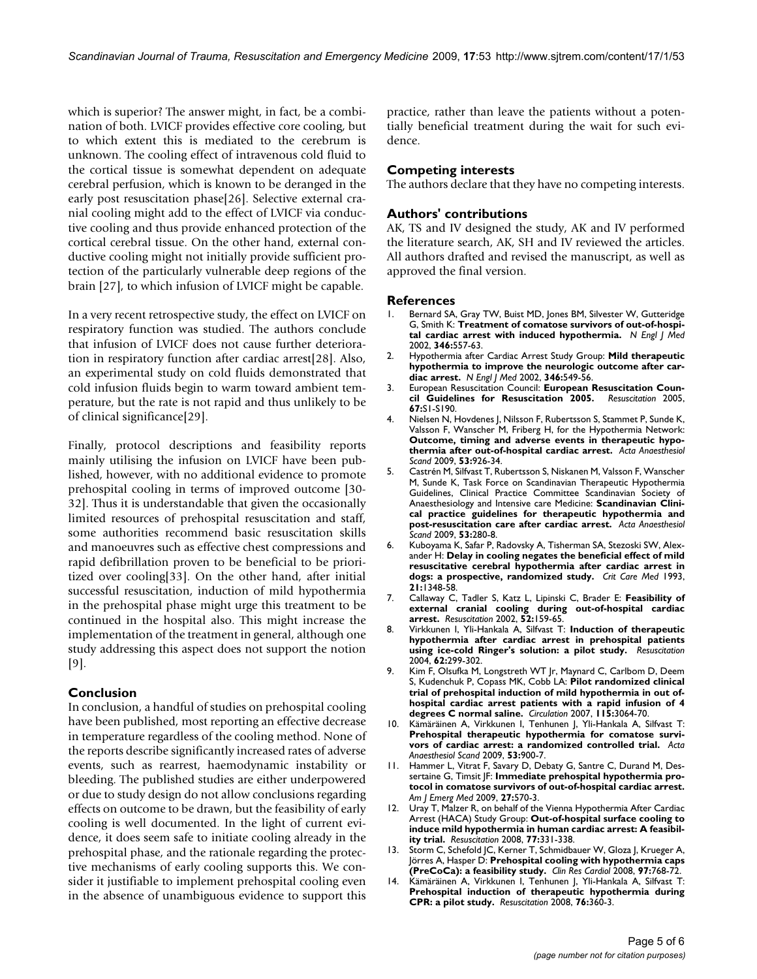which is superior? The answer might, in fact, be a combination of both. LVICF provides effective core cooling, but to which extent this is mediated to the cerebrum is unknown. The cooling effect of intravenous cold fluid to the cortical tissue is somewhat dependent on adequate cerebral perfusion, which is known to be deranged in the early post resuscitation phase[26]. Selective external cranial cooling might add to the effect of LVICF via conductive cooling and thus provide enhanced protection of the cortical cerebral tissue. On the other hand, external conductive cooling might not initially provide sufficient protection of the particularly vulnerable deep regions of the brain [27], to which infusion of LVICF might be capable.

In a very recent retrospective study, the effect on LVICF on respiratory function was studied. The authors conclude that infusion of LVICF does not cause further deterioration in respiratory function after cardiac arrest[28]. Also, an experimental study on cold fluids demonstrated that cold infusion fluids begin to warm toward ambient temperature, but the rate is not rapid and thus unlikely to be of clinical significance[29].

Finally, protocol descriptions and feasibility reports mainly utilising the infusion on LVICF have been published, however, with no additional evidence to promote prehospital cooling in terms of improved outcome [30- 32]. Thus it is understandable that given the occasionally limited resources of prehospital resuscitation and staff, some authorities recommend basic resuscitation skills and manoeuvres such as effective chest compressions and rapid defibrillation proven to be beneficial to be prioritized over cooling[33]. On the other hand, after initial successful resuscitation, induction of mild hypothermia in the prehospital phase might urge this treatment to be continued in the hospital also. This might increase the implementation of the treatment in general, although one study addressing this aspect does not support the notion [9].

# **Conclusion**

In conclusion, a handful of studies on prehospital cooling have been published, most reporting an effective decrease in temperature regardless of the cooling method. None of the reports describe significantly increased rates of adverse events, such as rearrest, haemodynamic instability or bleeding. The published studies are either underpowered or due to study design do not allow conclusions regarding effects on outcome to be drawn, but the feasibility of early cooling is well documented. In the light of current evidence, it does seem safe to initiate cooling already in the prehospital phase, and the rationale regarding the protective mechanisms of early cooling supports this. We consider it justifiable to implement prehospital cooling even in the absence of unambiguous evidence to support this practice, rather than leave the patients without a potentially beneficial treatment during the wait for such evidence.

# **Competing interests**

The authors declare that they have no competing interests.

# **Authors' contributions**

AK, TS and IV designed the study, AK and IV performed the literature search, AK, SH and IV reviewed the articles. All authors drafted and revised the manuscript, as well as approved the final version.

#### **References**

- 1. Bernard SA, Gray TW, Buist MD, Jones BM, Silvester W, Gutteridge G, Smith K: **[Treatment of comatose survivors of out-of-hospi](http://www.ncbi.nlm.nih.gov/entrez/query.fcgi?cmd=Retrieve&db=PubMed&dopt=Abstract&list_uids=11856794)[tal cardiac arrest with induced hypothermia.](http://www.ncbi.nlm.nih.gov/entrez/query.fcgi?cmd=Retrieve&db=PubMed&dopt=Abstract&list_uids=11856794)** *N Engl J Med* 2002, **346:**557-63.
- 2. Hypothermia after Cardiac Arrest Study Group: **[Mild therapeutic](http://www.ncbi.nlm.nih.gov/entrez/query.fcgi?cmd=Retrieve&db=PubMed&dopt=Abstract&list_uids=11856793) [hypothermia to improve the neurologic outcome after car](http://www.ncbi.nlm.nih.gov/entrez/query.fcgi?cmd=Retrieve&db=PubMed&dopt=Abstract&list_uids=11856793)[diac arrest.](http://www.ncbi.nlm.nih.gov/entrez/query.fcgi?cmd=Retrieve&db=PubMed&dopt=Abstract&list_uids=11856793)** *N Engl J Med* 2002, **346:**549-56.
- 3. European Resuscitation Council: **European Resuscitation Council Guidelines for Resuscitation 2005.** *Resuscitation* 2005, **67:**S1-S190.
- 4. Nielsen N, Hovdenes J, Nilsson F, Rubertsson S, Stammet P, Sunde K, Valsson F, Wanscher M, Friberg H, for the Hypothermia Network: [Outcome, timing and adverse events in therapeutic hypo](http://www.ncbi.nlm.nih.gov/entrez/query.fcgi?cmd=Retrieve&db=PubMed&dopt=Abstract&list_uids=19549271)**[thermia after out-of-hospital cardiac arrest.](http://www.ncbi.nlm.nih.gov/entrez/query.fcgi?cmd=Retrieve&db=PubMed&dopt=Abstract&list_uids=19549271)** *Acta Anaesthesiol Scand* 2009, **53:**926-34.
- 5. Castrén M, Silfvast T, Rubertsson S, Niskanen M, Valsson F, Wanscher M, Sunde K, Task Force on Scandinavian Therapeutic Hypothermia Guidelines, Clinical Practice Committee Scandinavian Society of Anaesthesiology and Intensive care Medicine: **[Scandinavian Clini](http://www.ncbi.nlm.nih.gov/entrez/query.fcgi?cmd=Retrieve&db=PubMed&dopt=Abstract&list_uids=19243313)[cal practice guidelines for therapeutic hypothermia and](http://www.ncbi.nlm.nih.gov/entrez/query.fcgi?cmd=Retrieve&db=PubMed&dopt=Abstract&list_uids=19243313) [post-resuscitation care after cardiac arrest.](http://www.ncbi.nlm.nih.gov/entrez/query.fcgi?cmd=Retrieve&db=PubMed&dopt=Abstract&list_uids=19243313)** *Acta Anaesthesiol Scand* 2009, **53:**280-8.
- 6. Kuboyama K, Safar P, Radovsky A, Tisherman SA, Stezoski SW, Alexander H: **[Delay in cooling negates the beneficial effect of mild](http://www.ncbi.nlm.nih.gov/entrez/query.fcgi?cmd=Retrieve&db=PubMed&dopt=Abstract&list_uids=8370299) [resuscitative cerebral hypothermia after cardiac arrest in](http://www.ncbi.nlm.nih.gov/entrez/query.fcgi?cmd=Retrieve&db=PubMed&dopt=Abstract&list_uids=8370299) [dogs: a prospective, randomized study.](http://www.ncbi.nlm.nih.gov/entrez/query.fcgi?cmd=Retrieve&db=PubMed&dopt=Abstract&list_uids=8370299)** *Crit Care Med* 1993, **21:**1348-58.
- 7. Callaway C, Tadler S, Katz L, Lipinski C, Brader E: **[Feasibility of](http://www.ncbi.nlm.nih.gov/entrez/query.fcgi?cmd=Retrieve&db=PubMed&dopt=Abstract&list_uids=11841883) [external cranial cooling during out-of-hospital cardiac](http://www.ncbi.nlm.nih.gov/entrez/query.fcgi?cmd=Retrieve&db=PubMed&dopt=Abstract&list_uids=11841883) [arrest.](http://www.ncbi.nlm.nih.gov/entrez/query.fcgi?cmd=Retrieve&db=PubMed&dopt=Abstract&list_uids=11841883)** *Resuscitation* 2002, **52:**159-65.
- 8. Virkkunen I, Yli-Hankala A, Silfvast T: **[Induction of therapeutic](http://www.ncbi.nlm.nih.gov/entrez/query.fcgi?cmd=Retrieve&db=PubMed&dopt=Abstract&list_uids=15325449) [hypothermia after cardiac arrest in prehospital patients](http://www.ncbi.nlm.nih.gov/entrez/query.fcgi?cmd=Retrieve&db=PubMed&dopt=Abstract&list_uids=15325449) [using ice-cold Ringer's solution: a pilot study.](http://www.ncbi.nlm.nih.gov/entrez/query.fcgi?cmd=Retrieve&db=PubMed&dopt=Abstract&list_uids=15325449)** *Resuscitation* 2004, **62:**299-302.
- 9. Kim F, Olsufka M, Longstreth WT Jr, Maynard C, Carlbom D, Deem S, Kudenchuk P, Copass MK, Cobb LA: **[Pilot randomized clinical](http://www.ncbi.nlm.nih.gov/entrez/query.fcgi?cmd=Retrieve&db=PubMed&dopt=Abstract&list_uids=17548731) [trial of prehospital induction of mild hypothermia in out of](http://www.ncbi.nlm.nih.gov/entrez/query.fcgi?cmd=Retrieve&db=PubMed&dopt=Abstract&list_uids=17548731)hospital cardiac arrest patients with a rapid infusion of 4 [degrees C normal saline.](http://www.ncbi.nlm.nih.gov/entrez/query.fcgi?cmd=Retrieve&db=PubMed&dopt=Abstract&list_uids=17548731)** *Circulation* 2007, **115:**3064-70.
- 10. Kämäräinen A, Virkkunen I, Tenhunen J, Yli-Hankala A, Silfvast T: **[Prehospital therapeutic hypothermia for comatose survi](http://www.ncbi.nlm.nih.gov/entrez/query.fcgi?cmd=Retrieve&db=PubMed&dopt=Abstract&list_uids=19496762)[vors of cardiac arrest: a randomized controlled trial.](http://www.ncbi.nlm.nih.gov/entrez/query.fcgi?cmd=Retrieve&db=PubMed&dopt=Abstract&list_uids=19496762)** *Acta Anaesthesiol Scand* 2009, **53:**900-7.
- 11. Hammer L, Vitrat F, Savary D, Debaty G, Santre C, Durand M, Dessertaine G, Timsit JF: **[Immediate prehospital hypothermia pro](http://www.ncbi.nlm.nih.gov/entrez/query.fcgi?cmd=Retrieve&db=PubMed&dopt=Abstract&list_uids=19497463)[tocol in comatose survivors of out-of-hospital cardiac arrest.](http://www.ncbi.nlm.nih.gov/entrez/query.fcgi?cmd=Retrieve&db=PubMed&dopt=Abstract&list_uids=19497463)** *Am J Emerg Med* 2009, **27:**570-3.
- 12. Uray T, Malzer R, on behalf of the Vienna Hypothermia After Cardiac Arrest (HACA) Study Group: **[Out-of-hospital surface cooling to](http://www.ncbi.nlm.nih.gov/entrez/query.fcgi?cmd=Retrieve&db=PubMed&dopt=Abstract&list_uids=18314248) [induce mild hypothermia in human cardiac arrest: A feasibil](http://www.ncbi.nlm.nih.gov/entrez/query.fcgi?cmd=Retrieve&db=PubMed&dopt=Abstract&list_uids=18314248)[ity trial.](http://www.ncbi.nlm.nih.gov/entrez/query.fcgi?cmd=Retrieve&db=PubMed&dopt=Abstract&list_uids=18314248)** *Resuscitation* 2008, **77:**331-338.
- 13. Storm C, Schefold JC, Kerner T, Schmidbauer W, Gloza J, Krueger A, Jörres A, Hasper D: **[Prehospital cooling with hypothermia caps](http://www.ncbi.nlm.nih.gov/entrez/query.fcgi?cmd=Retrieve&db=PubMed&dopt=Abstract&list_uids=18512093) [\(PreCoCa\): a feasibility study.](http://www.ncbi.nlm.nih.gov/entrez/query.fcgi?cmd=Retrieve&db=PubMed&dopt=Abstract&list_uids=18512093)** *Clin Res Cardiol* 2008, **97:**768-72.
- 14. Kämäräinen A, Virkkunen I, Tenhunen J, Yli-Hankala A, Silfvast T: **[Prehospital induction of therapeutic hypothermia during](http://www.ncbi.nlm.nih.gov/entrez/query.fcgi?cmd=Retrieve&db=PubMed&dopt=Abstract&list_uids=17936493) [CPR: a pilot study.](http://www.ncbi.nlm.nih.gov/entrez/query.fcgi?cmd=Retrieve&db=PubMed&dopt=Abstract&list_uids=17936493)** *Resuscitation* 2008, **76:**360-3.